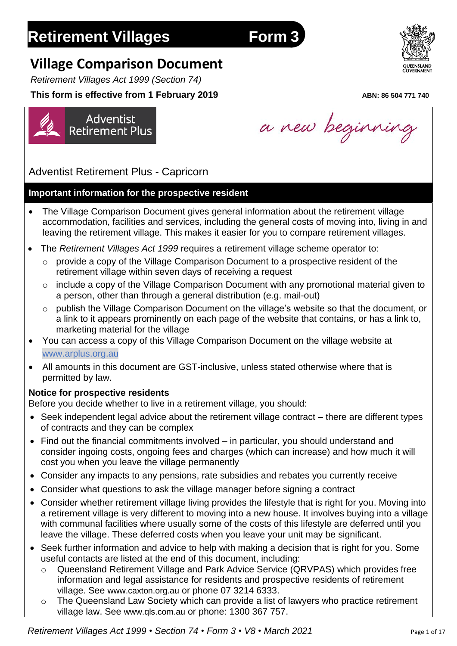# **Retirement Villages Form 3**

# **Village Comparison Document**

*Retirement Villages Act 1999 (Section 74)*

Adventist

**Retirement Plus** 

## **This form is effective from 1 February 2019** *ABN: 86 504 771 740*

Adventist Retirement Plus - Capricorn

## **Important information for the prospective resident**

- The Village Comparison Document gives general information about the retirement village accommodation, facilities and services, including the general costs of moving into, living in and leaving the retirement village. This makes it easier for you to compare retirement villages.
- The *Retirement Villages Act 1999* requires a retirement village scheme operator to:
	- o provide a copy of the Village Comparison Document to a prospective resident of the retirement village within seven days of receiving a request
	- o include a copy of the Village Comparison Document with any promotional material given to a person, other than through a general distribution (e.g. mail-out)
	- o publish the Village Comparison Document on the village's website so that the document, or a link to it appears prominently on each page of the website that contains, or has a link to, marketing material for the village
- You can access a copy of this Village Comparison Document on the village website at www.arplus.org.au
- All amounts in this document are GST-inclusive, unless stated otherwise where that is permitted by law.

## **Notice for prospective residents**

Before you decide whether to live in a retirement village, you should:

- Seek independent legal advice about the retirement village contract there are different types of contracts and they can be complex
- Find out the financial commitments involved in particular, you should understand and consider ingoing costs, ongoing fees and charges (which can increase) and how much it will cost you when you leave the village permanently
- Consider any impacts to any pensions, rate subsidies and rebates you currently receive
- Consider what questions to ask the village manager before signing a contract
- Consider whether retirement village living provides the lifestyle that is right for you. Moving into a retirement village is very different to moving into a new house. It involves buying into a village with communal facilities where usually some of the costs of this lifestyle are deferred until you leave the village. These deferred costs when you leave your unit may be significant.
- Seek further information and advice to help with making a decision that is right for you. Some useful contacts are listed at the end of this document, including:
	- o Queensland Retirement Village and Park Advice Service (QRVPAS) which provides free information and legal assistance for residents and prospective residents of retirement village. See [www.caxton.org.au](http://www.caxton.org.au/) or phone 07 3214 6333.
	- o The Queensland Law Society which can provide a list of lawyers who practice retirement



a new beginning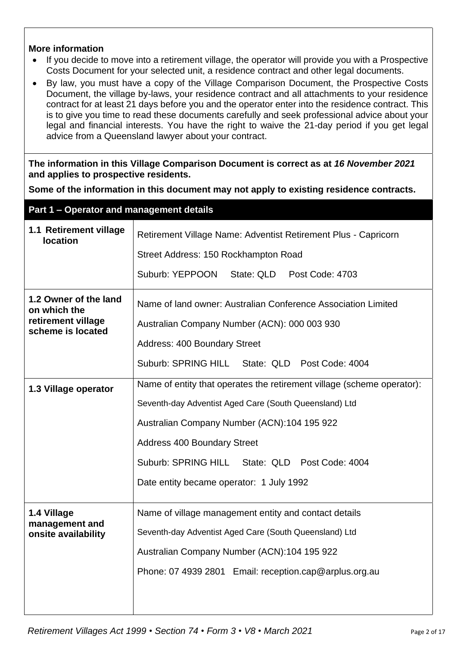## **More information**

- If you decide to move into a retirement village, the operator will provide you with a Prospective Costs Document for your selected unit, a residence contract and other legal documents.
- By law, you must have a copy of the Village Comparison Document, the Prospective Costs Document, the village by-laws, your residence contract and all attachments to your residence contract for at least 21 days before you and the operator enter into the residence contract. This is to give you time to read these documents carefully and seek professional advice about your legal and financial interests. You have the right to waive the 21-day period if you get legal advice from a Queensland lawyer about your contract.

**The information in this Village Comparison Document is correct as at** *16 November 2021* **and applies to prospective residents.**

**Some of the information in this document may not apply to existing residence contracts.**

| Part 1 – Operator and management details                                                       |                                                                                                               |  |
|------------------------------------------------------------------------------------------------|---------------------------------------------------------------------------------------------------------------|--|
| 1.1 Retirement village<br><b>location</b>                                                      | Retirement Village Name: Adventist Retirement Plus - Capricorn<br>Street Address: 150 Rockhampton Road        |  |
|                                                                                                |                                                                                                               |  |
|                                                                                                | Suburb: YEPPOON<br>State: QLD Post Code: 4703                                                                 |  |
| 1.2 Owner of the land<br>on which the<br>retirement village                                    | Name of land owner: Australian Conference Association Limited<br>Australian Company Number (ACN): 000 003 930 |  |
| scheme is located                                                                              |                                                                                                               |  |
|                                                                                                | <b>Address: 400 Boundary Street</b>                                                                           |  |
|                                                                                                | Suburb: SPRING HILL State: QLD Post Code: 4004                                                                |  |
| Name of entity that operates the retirement village (scheme operator):<br>1.3 Village operator |                                                                                                               |  |
|                                                                                                | Seventh-day Adventist Aged Care (South Queensland) Ltd                                                        |  |
|                                                                                                | Australian Company Number (ACN):104 195 922                                                                   |  |
|                                                                                                | <b>Address 400 Boundary Street</b>                                                                            |  |
|                                                                                                | Suburb: SPRING HILL State: QLD Post Code: 4004                                                                |  |
|                                                                                                | Date entity became operator: 1 July 1992                                                                      |  |
| 1.4 Village                                                                                    | Name of village management entity and contact details                                                         |  |
| management and                                                                                 |                                                                                                               |  |
| onsite availability                                                                            | Seventh-day Adventist Aged Care (South Queensland) Ltd                                                        |  |
|                                                                                                | Australian Company Number (ACN):104 195 922                                                                   |  |
|                                                                                                | Phone: 07 4939 2801 Email: reception.cap@arplus.org.au                                                        |  |
|                                                                                                |                                                                                                               |  |
|                                                                                                |                                                                                                               |  |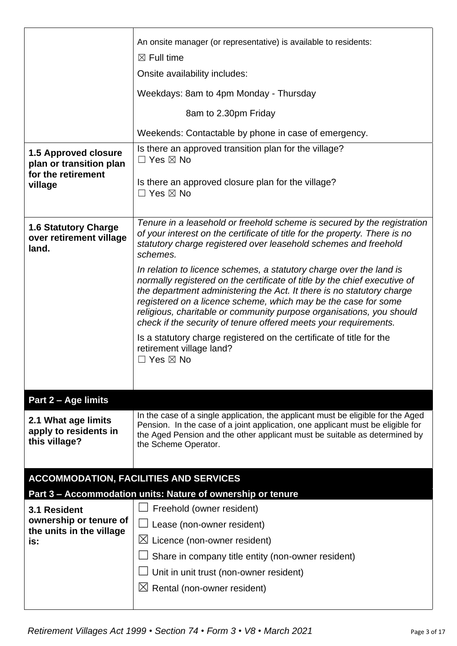|                                                                              | An onsite manager (or representative) is available to residents:                                                                                                                                                                                                                                                                                                                                                                        |  |  |
|------------------------------------------------------------------------------|-----------------------------------------------------------------------------------------------------------------------------------------------------------------------------------------------------------------------------------------------------------------------------------------------------------------------------------------------------------------------------------------------------------------------------------------|--|--|
|                                                                              | $\boxtimes$ Full time                                                                                                                                                                                                                                                                                                                                                                                                                   |  |  |
|                                                                              | Onsite availability includes:                                                                                                                                                                                                                                                                                                                                                                                                           |  |  |
|                                                                              | Weekdays: 8am to 4pm Monday - Thursday                                                                                                                                                                                                                                                                                                                                                                                                  |  |  |
|                                                                              | 8am to 2.30pm Friday                                                                                                                                                                                                                                                                                                                                                                                                                    |  |  |
|                                                                              | Weekends: Contactable by phone in case of emergency.                                                                                                                                                                                                                                                                                                                                                                                    |  |  |
| <b>1.5 Approved closure</b><br>plan or transition plan<br>for the retirement | Is there an approved transition plan for the village?<br>$\Box$ Yes $\boxtimes$ No                                                                                                                                                                                                                                                                                                                                                      |  |  |
| village                                                                      | Is there an approved closure plan for the village?<br>$\Box$ Yes $\boxtimes$ No                                                                                                                                                                                                                                                                                                                                                         |  |  |
| <b>1.6 Statutory Charge</b><br>over retirement village<br>land.              | Tenure in a leasehold or freehold scheme is secured by the registration<br>of your interest on the certificate of title for the property. There is no<br>statutory charge registered over leasehold schemes and freehold<br>schemes.                                                                                                                                                                                                    |  |  |
|                                                                              | In relation to licence schemes, a statutory charge over the land is<br>normally registered on the certificate of title by the chief executive of<br>the department administering the Act. It there is no statutory charge<br>registered on a licence scheme, which may be the case for some<br>religious, charitable or community purpose organisations, you should<br>check if the security of tenure offered meets your requirements. |  |  |
|                                                                              | Is a statutory charge registered on the certificate of title for the<br>retirement village land?<br>$\Box$ Yes $\boxtimes$ No                                                                                                                                                                                                                                                                                                           |  |  |
| Part 2 - Age limits                                                          |                                                                                                                                                                                                                                                                                                                                                                                                                                         |  |  |
| 2.1 What age limits<br>apply to residents in<br>this village?                | In the case of a single application, the applicant must be eligible for the Aged<br>Pension. In the case of a joint application, one applicant must be eligible for<br>the Aged Pension and the other applicant must be suitable as determined by<br>the Scheme Operator.                                                                                                                                                               |  |  |
|                                                                              | <b>ACCOMMODATION, FACILITIES AND SERVICES</b>                                                                                                                                                                                                                                                                                                                                                                                           |  |  |
|                                                                              | Part 3 - Accommodation units: Nature of ownership or tenure                                                                                                                                                                                                                                                                                                                                                                             |  |  |
| 3.1 Resident                                                                 | Freehold (owner resident)                                                                                                                                                                                                                                                                                                                                                                                                               |  |  |
| ownership or tenure of<br>the units in the village                           | Lease (non-owner resident)                                                                                                                                                                                                                                                                                                                                                                                                              |  |  |
| is:                                                                          | $\boxtimes$ Licence (non-owner resident)                                                                                                                                                                                                                                                                                                                                                                                                |  |  |
|                                                                              | Share in company title entity (non-owner resident)                                                                                                                                                                                                                                                                                                                                                                                      |  |  |
|                                                                              | Unit in unit trust (non-owner resident)                                                                                                                                                                                                                                                                                                                                                                                                 |  |  |
|                                                                              | $\boxtimes$ Rental (non-owner resident)                                                                                                                                                                                                                                                                                                                                                                                                 |  |  |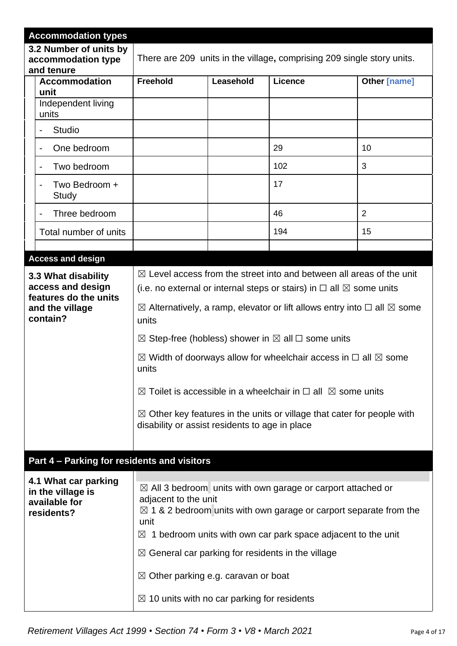|                             | <b>Accommodation types</b>                                               |                                                                                                                                                                                                                                                                                                                                                                                                                                                |  |                                                                                   |                |
|-----------------------------|--------------------------------------------------------------------------|------------------------------------------------------------------------------------------------------------------------------------------------------------------------------------------------------------------------------------------------------------------------------------------------------------------------------------------------------------------------------------------------------------------------------------------------|--|-----------------------------------------------------------------------------------|----------------|
|                             | 3.2 Number of units by<br>accommodation type<br>and tenure               | There are 209 units in the village, comprising 209 single story units.                                                                                                                                                                                                                                                                                                                                                                         |  |                                                                                   |                |
|                             | <b>Accommodation</b><br>unit                                             | <b>Freehold</b><br>Leasehold<br><b>Licence</b><br><b>Other [name]</b>                                                                                                                                                                                                                                                                                                                                                                          |  |                                                                                   |                |
|                             | Independent living<br>units                                              |                                                                                                                                                                                                                                                                                                                                                                                                                                                |  |                                                                                   |                |
|                             | <b>Studio</b>                                                            |                                                                                                                                                                                                                                                                                                                                                                                                                                                |  |                                                                                   |                |
|                             | One bedroom<br>$\overline{\phantom{a}}$                                  |                                                                                                                                                                                                                                                                                                                                                                                                                                                |  | 29                                                                                | 10             |
|                             | Two bedroom                                                              |                                                                                                                                                                                                                                                                                                                                                                                                                                                |  | 102                                                                               | 3              |
|                             | Two Bedroom +<br>Study                                                   |                                                                                                                                                                                                                                                                                                                                                                                                                                                |  | 17                                                                                |                |
|                             | Three bedroom<br>$\overline{\phantom{a}}$                                |                                                                                                                                                                                                                                                                                                                                                                                                                                                |  | 46                                                                                | $\overline{2}$ |
|                             | Total number of units                                                    |                                                                                                                                                                                                                                                                                                                                                                                                                                                |  | 194                                                                               | 15             |
|                             |                                                                          |                                                                                                                                                                                                                                                                                                                                                                                                                                                |  |                                                                                   |                |
|                             | <b>Access and design</b>                                                 |                                                                                                                                                                                                                                                                                                                                                                                                                                                |  |                                                                                   |                |
|                             | 3.3 What disability<br>access and design                                 | $\boxtimes$ Level access from the street into and between all areas of the unit                                                                                                                                                                                                                                                                                                                                                                |  |                                                                                   |                |
|                             | features do the units                                                    | (i.e. no external or internal steps or stairs) in $\Box$ all $\boxtimes$ some units                                                                                                                                                                                                                                                                                                                                                            |  |                                                                                   |                |
| and the village<br>contain? |                                                                          | $\boxtimes$ Alternatively, a ramp, elevator or lift allows entry into $\Box$ all $\boxtimes$ some<br>units                                                                                                                                                                                                                                                                                                                                     |  |                                                                                   |                |
|                             |                                                                          | $\boxtimes$ Step-free (hobless) shower in $\boxtimes$ all $\Box$ some units                                                                                                                                                                                                                                                                                                                                                                    |  |                                                                                   |                |
|                             |                                                                          | $\boxtimes$ Width of doorways allow for wheelchair access in $\Box$ all $\boxtimes$ some<br>units                                                                                                                                                                                                                                                                                                                                              |  |                                                                                   |                |
|                             |                                                                          | $\boxtimes$ Toilet is accessible in a wheelchair in $\Box$ all $\boxtimes$ some units                                                                                                                                                                                                                                                                                                                                                          |  |                                                                                   |                |
|                             |                                                                          | disability or assist residents to age in place                                                                                                                                                                                                                                                                                                                                                                                                 |  | $\boxtimes$ Other key features in the units or village that cater for people with |                |
|                             | Part 4 - Parking for residents and visitors                              |                                                                                                                                                                                                                                                                                                                                                                                                                                                |  |                                                                                   |                |
|                             | 4.1 What car parking<br>in the village is<br>available for<br>residents? | $\boxtimes$ All 3 bedroom units with own garage or carport attached or<br>adjacent to the unit<br>$\boxtimes$ 1 & 2 bedroom units with own garage or carport separate from the<br>unit<br>$\boxtimes$ 1 bedroom units with own car park space adjacent to the unit<br>$\boxtimes$ General car parking for residents in the village<br>$\boxtimes$ Other parking e.g. caravan or boat<br>$\boxtimes$ 10 units with no car parking for residents |  |                                                                                   |                |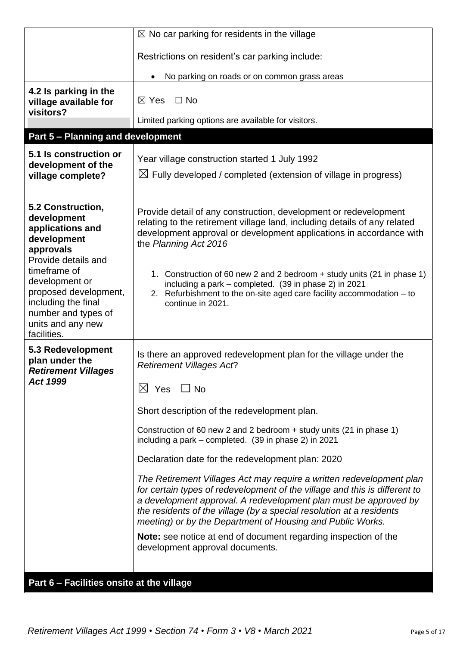| Restrictions on resident's car parking include:<br>No parking on roads or on common grass areas<br>4.2 Is parking in the<br>$\boxtimes$ Yes<br>$\Box$ No<br>village available for                                                                                                                                                                                                                                                                                     |  |
|-----------------------------------------------------------------------------------------------------------------------------------------------------------------------------------------------------------------------------------------------------------------------------------------------------------------------------------------------------------------------------------------------------------------------------------------------------------------------|--|
|                                                                                                                                                                                                                                                                                                                                                                                                                                                                       |  |
|                                                                                                                                                                                                                                                                                                                                                                                                                                                                       |  |
| visitors?                                                                                                                                                                                                                                                                                                                                                                                                                                                             |  |
| Limited parking options are available for visitors.                                                                                                                                                                                                                                                                                                                                                                                                                   |  |
| <b>Part 5 - Planning and development</b>                                                                                                                                                                                                                                                                                                                                                                                                                              |  |
| 5.1 Is construction or<br>Year village construction started 1 July 1992<br>development of the<br>$\boxtimes$ Fully developed / completed (extension of village in progress)<br>village complete?                                                                                                                                                                                                                                                                      |  |
| 5.2 Construction,<br>Provide detail of any construction, development or redevelopment<br>development<br>relating to the retirement village land, including details of any related<br>applications and<br>development approval or development applications in accordance with<br>development<br>the Planning Act 2016<br>approvals<br>Provide details and<br>timeframe of<br>1. Construction of 60 new 2 and 2 bedroom + study units (21 in phase 1)<br>development or |  |
| including a park - completed. (39 in phase 2) in 2021<br>proposed development,<br>2. Refurbishment to the on-site aged care facility accommodation – to<br>including the final<br>continue in 2021.<br>number and types of<br>units and any new<br>facilities.                                                                                                                                                                                                        |  |
| 5.3 Redevelopment<br>Is there an approved redevelopment plan for the village under the<br>plan under the<br><b>Retirement Villages Act?</b><br><b>Retirement Villages</b>                                                                                                                                                                                                                                                                                             |  |
| <b>Act 1999</b><br>$\boxtimes$ Yes $\Box$ No                                                                                                                                                                                                                                                                                                                                                                                                                          |  |
| Short description of the redevelopment plan.                                                                                                                                                                                                                                                                                                                                                                                                                          |  |
| Construction of 60 new 2 and 2 bedroom + study units (21 in phase 1)<br>including a park – completed. (39 in phase 2) in 2021                                                                                                                                                                                                                                                                                                                                         |  |
| Declaration date for the redevelopment plan: 2020                                                                                                                                                                                                                                                                                                                                                                                                                     |  |
| The Retirement Villages Act may require a written redevelopment plan<br>for certain types of redevelopment of the village and this is different to<br>a development approval. A redevelopment plan must be approved by<br>the residents of the village (by a special resolution at a residents<br>meeting) or by the Department of Housing and Public Works.                                                                                                          |  |
| Note: see notice at end of document regarding inspection of the<br>development approval documents.                                                                                                                                                                                                                                                                                                                                                                    |  |
| Part 6 - Facilities onsite at the village                                                                                                                                                                                                                                                                                                                                                                                                                             |  |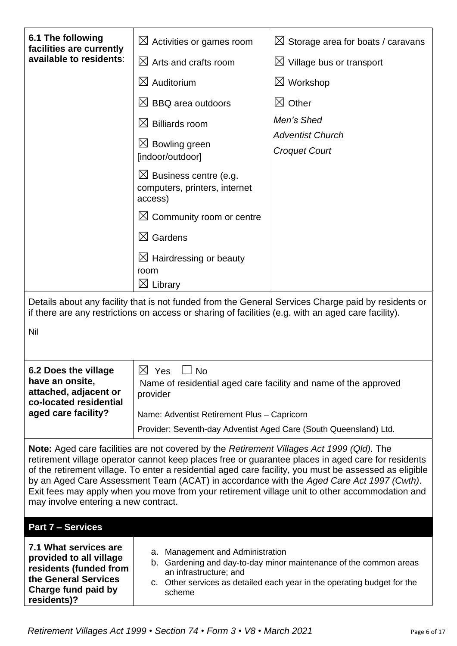| 6.1 The following<br>facilities are currently                                                                                                                                                                                                                                                                                                                                                                                                                                                                                                          | $\boxtimes$ Activities or games room                                                                | $\boxtimes$ Storage area for boats / caravans                                                                                             |  |
|--------------------------------------------------------------------------------------------------------------------------------------------------------------------------------------------------------------------------------------------------------------------------------------------------------------------------------------------------------------------------------------------------------------------------------------------------------------------------------------------------------------------------------------------------------|-----------------------------------------------------------------------------------------------------|-------------------------------------------------------------------------------------------------------------------------------------------|--|
| available to residents:                                                                                                                                                                                                                                                                                                                                                                                                                                                                                                                                | $\boxtimes$ Arts and crafts room                                                                    | $\boxtimes$ Village bus or transport                                                                                                      |  |
|                                                                                                                                                                                                                                                                                                                                                                                                                                                                                                                                                        | $\boxtimes$ Auditorium                                                                              | $\boxtimes$ Workshop                                                                                                                      |  |
|                                                                                                                                                                                                                                                                                                                                                                                                                                                                                                                                                        | $\boxtimes$ BBQ area outdoors                                                                       | $\boxtimes$ Other                                                                                                                         |  |
|                                                                                                                                                                                                                                                                                                                                                                                                                                                                                                                                                        | $\boxtimes$ Billiards room                                                                          | Men's Shed                                                                                                                                |  |
|                                                                                                                                                                                                                                                                                                                                                                                                                                                                                                                                                        | $\boxtimes$ Bowling green<br>[indoor/outdoor]                                                       | <b>Adventist Church</b><br><b>Croquet Court</b>                                                                                           |  |
|                                                                                                                                                                                                                                                                                                                                                                                                                                                                                                                                                        | $\boxtimes$ Business centre (e.g.<br>computers, printers, internet<br>access)                       |                                                                                                                                           |  |
|                                                                                                                                                                                                                                                                                                                                                                                                                                                                                                                                                        | $\boxtimes$ Community room or centre                                                                |                                                                                                                                           |  |
|                                                                                                                                                                                                                                                                                                                                                                                                                                                                                                                                                        | $\boxtimes$ Gardens                                                                                 |                                                                                                                                           |  |
|                                                                                                                                                                                                                                                                                                                                                                                                                                                                                                                                                        | $\boxtimes$ Hairdressing or beauty<br>room<br>$\boxtimes$ Library                                   |                                                                                                                                           |  |
| Details about any facility that is not funded from the General Services Charge paid by residents or                                                                                                                                                                                                                                                                                                                                                                                                                                                    |                                                                                                     |                                                                                                                                           |  |
|                                                                                                                                                                                                                                                                                                                                                                                                                                                                                                                                                        | if there are any restrictions on access or sharing of facilities (e.g. with an aged care facility). |                                                                                                                                           |  |
| Nil                                                                                                                                                                                                                                                                                                                                                                                                                                                                                                                                                    |                                                                                                     |                                                                                                                                           |  |
| 6.2 Does the village                                                                                                                                                                                                                                                                                                                                                                                                                                                                                                                                   | $\boxtimes$ Yes<br>N∩                                                                               |                                                                                                                                           |  |
| have an onsite,<br>attached, adjacent or<br>co-located residential                                                                                                                                                                                                                                                                                                                                                                                                                                                                                     | Name of residential aged care facility and name of the approved<br>provider                         |                                                                                                                                           |  |
| aged care facility?                                                                                                                                                                                                                                                                                                                                                                                                                                                                                                                                    | Name: Adventist Retirement Plus - Capricorn                                                         |                                                                                                                                           |  |
|                                                                                                                                                                                                                                                                                                                                                                                                                                                                                                                                                        | Provider: Seventh-day Adventist Aged Care (South Queensland) Ltd.                                   |                                                                                                                                           |  |
| <b>Note:</b> Aged care facilities are not covered by the Retirement Villages Act 1999 (Qld). The<br>retirement village operator cannot keep places free or guarantee places in aged care for residents<br>of the retirement village. To enter a residential aged care facility, you must be assessed as eligible<br>by an Aged Care Assessment Team (ACAT) in accordance with the Aged Care Act 1997 (Cwth).<br>Exit fees may apply when you move from your retirement village unit to other accommodation and<br>may involve entering a new contract. |                                                                                                     |                                                                                                                                           |  |
| <b>Part 7 - Services</b>                                                                                                                                                                                                                                                                                                                                                                                                                                                                                                                               |                                                                                                     |                                                                                                                                           |  |
| 7.1 What services are<br>provided to all village<br>residents (funded from<br>the General Services<br>Charge fund paid by<br>residents)?                                                                                                                                                                                                                                                                                                                                                                                                               | a. Management and Administration<br>an infrastructure; and<br>C.<br>scheme                          | b. Gardening and day-to-day minor maintenance of the common areas<br>Other services as detailed each year in the operating budget for the |  |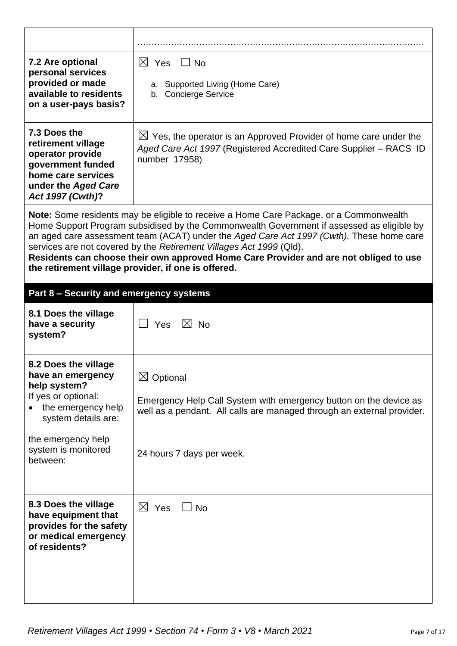| 7.2 Are optional<br>personal services<br>provided or made<br>available to residents<br>on a user-pays basis?                                                                           | $\boxtimes$ Yes $\Box$ No<br>a. Supported Living (Home Care)<br>b. Concierge Service                                                                                                                                                                                                                                                                                                                                                            |
|----------------------------------------------------------------------------------------------------------------------------------------------------------------------------------------|-------------------------------------------------------------------------------------------------------------------------------------------------------------------------------------------------------------------------------------------------------------------------------------------------------------------------------------------------------------------------------------------------------------------------------------------------|
| 7.3 Does the<br>retirement village<br>operator provide<br>government funded<br>home care services<br>under the Aged Care<br>Act 1997 (Cwth)?                                           | $\boxtimes$ Yes, the operator is an Approved Provider of home care under the<br>Aged Care Act 1997 (Registered Accredited Care Supplier – RACS ID<br>number 17958)                                                                                                                                                                                                                                                                              |
| the retirement village provider, if one is offered.                                                                                                                                    | Note: Some residents may be eligible to receive a Home Care Package, or a Commonwealth<br>Home Support Program subsidised by the Commonwealth Government if assessed as eligible by<br>an aged care assessment team (ACAT) under the Aged Care Act 1997 (Cwth). These home care<br>services are not covered by the Retirement Villages Act 1999 (Qld).<br>Residents can choose their own approved Home Care Provider and are not obliged to use |
| Part 8 - Security and emergency systems                                                                                                                                                |                                                                                                                                                                                                                                                                                                                                                                                                                                                 |
| 8.1 Does the village<br>have a security<br>system?                                                                                                                                     | Yes $\boxtimes$ No                                                                                                                                                                                                                                                                                                                                                                                                                              |
| 8.2 Does the village<br>have an emergency<br>help system?<br>If yes or optional:<br>the emergency help<br>system details are:<br>the emergency help<br>system is monitored<br>between: | $\boxtimes$ Optional<br>Emergency Help Call System with emergency button on the device as<br>well as a pendant. All calls are managed through an external provider.<br>24 hours 7 days per week.                                                                                                                                                                                                                                                |
| 8.3 Does the village<br>have equipment that<br>provides for the safety<br>or medical emergency<br>of residents?                                                                        | $\boxtimes$ Yes<br><b>No</b>                                                                                                                                                                                                                                                                                                                                                                                                                    |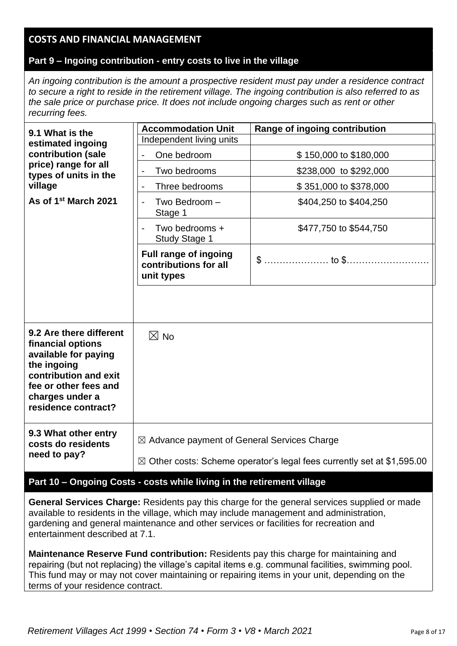## **COSTS AND FINANCIAL MANAGEMENT**

## **Part 9 – Ingoing contribution - entry costs to live in the village**

*An ingoing contribution is the amount a prospective resident must pay under a residence contract to secure a right to reside in the retirement village. The ingoing contribution is also referred to as the sale price or purchase price. It does not include ongoing charges such as rent or other recurring fees.*

| 9.1 What is the                                                                                                                                                                 | <b>Accommodation Unit</b>                                                         | Range of ingoing contribution |  |
|---------------------------------------------------------------------------------------------------------------------------------------------------------------------------------|-----------------------------------------------------------------------------------|-------------------------------|--|
| estimated ingoing<br>contribution (sale                                                                                                                                         | Independent living units                                                          |                               |  |
|                                                                                                                                                                                 | One bedroom                                                                       | \$150,000 to \$180,000        |  |
| price) range for all<br>types of units in the                                                                                                                                   | Two bedrooms<br>$\overline{\phantom{a}}$                                          | \$238,000 to \$292,000        |  |
| village                                                                                                                                                                         | Three bedrooms                                                                    | \$351,000 to \$378,000        |  |
| As of 1 <sup>st</sup> March 2021                                                                                                                                                | Two Bedroom -<br>Stage 1                                                          | \$404,250 to \$404,250        |  |
|                                                                                                                                                                                 | Two bedrooms +<br><b>Study Stage 1</b>                                            | \$477,750 to \$544,750        |  |
|                                                                                                                                                                                 | <b>Full range of ingoing</b><br>contributions for all<br>unit types               |                               |  |
|                                                                                                                                                                                 |                                                                                   |                               |  |
| 9.2 Are there different<br>financial options<br>available for paying<br>the ingoing<br>contribution and exit<br>fee or other fees and<br>charges under a<br>residence contract? | $\boxtimes$ No                                                                    |                               |  |
| 9.3 What other entry<br>costs do residents                                                                                                                                      | $\boxtimes$ Advance payment of General Services Charge                            |                               |  |
| need to pay?                                                                                                                                                                    | $\boxtimes$ Other costs: Scheme operator's legal fees currently set at \$1,595.00 |                               |  |

### **Part 10 – Ongoing Costs - costs while living in the retirement village**

**General Services Charge:** Residents pay this charge for the general services supplied or made available to residents in the village, which may include management and administration, gardening and general maintenance and other services or facilities for recreation and entertainment described at 7.1.

**Maintenance Reserve Fund contribution:** Residents pay this charge for maintaining and repairing (but not replacing) the village's capital items e.g. communal facilities, swimming pool. This fund may or may not cover maintaining or repairing items in your unit, depending on the terms of your residence contract.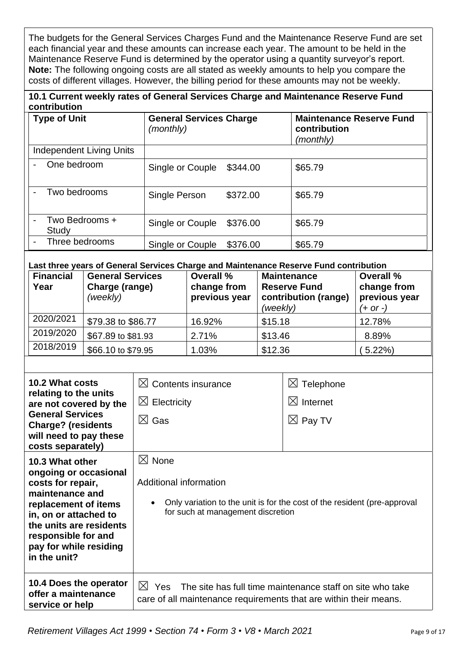The budgets for the General Services Charges Fund and the Maintenance Reserve Fund are set each financial year and these amounts can increase each year. The amount to be held in the Maintenance Reserve Fund is determined by the operator using a quantity surveyor's report. **Note:** The following ongoing costs are all stated as weekly amounts to help you compare the costs of different villages. However, the billing period for these amounts may not be weekly.

#### **10.1 Current weekly rates of General Services Charge and Maintenance Reserve Fund contribution**

| <b>Type of Unit</b>      | <b>General Services Charge</b><br>(monthly) |          | <b>Maintenance Reserve Fund</b><br>contribution<br>(monthly) |
|--------------------------|---------------------------------------------|----------|--------------------------------------------------------------|
| Independent Living Units |                                             |          |                                                              |
| One bedroom              | Single or Couple                            | \$344.00 | \$65.79                                                      |
| Two bedrooms             | Single Person                               | \$372.00 | \$65.79                                                      |
| Two Bedrooms +<br>Study  | Single or Couple                            | \$376.00 | \$65.79                                                      |
| Three bedrooms           | Single or Couple                            | \$376.00 | \$65.79                                                      |

**Last three years of General Services Charge and Maintenance Reserve Fund contribution**

| <b>Financial</b><br>Year | <b>General Services</b><br>Charge (range)<br>(weekly) | <b>Overall %</b><br>change from<br>previous year | <b>Maintenance</b><br><b>Reserve Fund</b><br>contribution (range)<br>(weekly) | <b>Overall %</b><br>change from<br>previous year<br>$(+ or -)$ |
|--------------------------|-------------------------------------------------------|--------------------------------------------------|-------------------------------------------------------------------------------|----------------------------------------------------------------|
| 2020/2021                | \$79.38 to \$86.77                                    | 16.92%                                           | \$15.18                                                                       | 12.78%                                                         |
| 2019/2020                | \$67.89 to \$81.93                                    | 2.71%                                            | \$13.46                                                                       | 8.89%                                                          |
| 2018/2019                | \$66.10 to \$79.95                                    | 1.03%                                            | \$12.36                                                                       | 5.22%                                                          |

| <b>10.2 What costs</b><br>relating to the units<br>are not covered by the<br><b>General Services</b><br><b>Charge? (residents</b><br>will need to pay these<br>costs separately)                                              | $\boxtimes$ Contents insurance<br>$\boxtimes$ Electricity<br>$\boxtimes$ Gas                                                                                             | $\boxtimes$ Telephone<br>$\boxtimes$ Internet<br>$\boxtimes$ Pay TV |
|-------------------------------------------------------------------------------------------------------------------------------------------------------------------------------------------------------------------------------|--------------------------------------------------------------------------------------------------------------------------------------------------------------------------|---------------------------------------------------------------------|
| 10.3 What other<br>ongoing or occasional<br>costs for repair,<br>maintenance and<br>replacement of items<br>in, on or attached to<br>the units are residents<br>responsible for and<br>pay for while residing<br>in the unit? | $\boxtimes$ None<br>Additional information<br>Only variation to the unit is for the cost of the resident (pre-approval<br>$\bullet$<br>for such at management discretion |                                                                     |
| 10.4 Does the operator<br>offer a maintenance<br>service or help                                                                                                                                                              | $\bowtie$<br>Yes The site has full time maintenance staff on site who take<br>care of all maintenance requirements that are within their means.                          |                                                                     |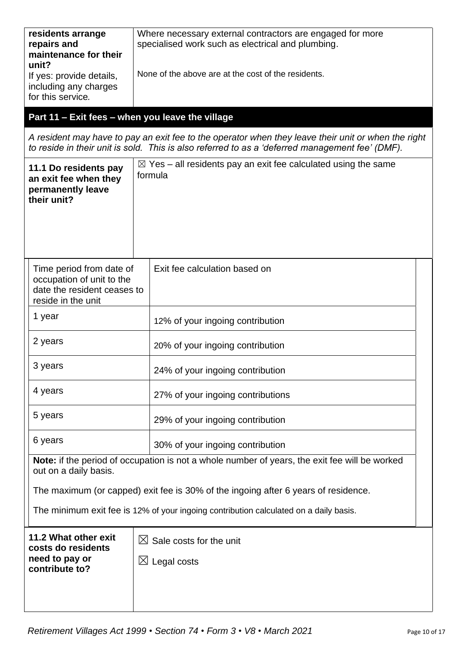| residents arrange<br>repairs and<br>maintenance for their<br>unit?<br>If yes: provide details,<br>including any charges<br>for this service.<br>Part 11 - Exit fees - when you leave the village<br>11.1 Do residents pay<br>an exit fee when they<br>permanently leave<br>their unit? | Where necessary external contractors are engaged for more<br>specialised work such as electrical and plumbing.<br>None of the above are at the cost of the residents.<br>A resident may have to pay an exit fee to the operator when they leave their unit or when the right<br>to reside in their unit is sold. This is also referred to as a 'deferred management fee' (DMF).<br>$\boxtimes$ Yes – all residents pay an exit fee calculated using the same<br>formula |  |
|----------------------------------------------------------------------------------------------------------------------------------------------------------------------------------------------------------------------------------------------------------------------------------------|-------------------------------------------------------------------------------------------------------------------------------------------------------------------------------------------------------------------------------------------------------------------------------------------------------------------------------------------------------------------------------------------------------------------------------------------------------------------------|--|
| Time period from date of<br>occupation of unit to the<br>date the resident ceases to<br>reside in the unit                                                                                                                                                                             | Exit fee calculation based on                                                                                                                                                                                                                                                                                                                                                                                                                                           |  |
| 1 year                                                                                                                                                                                                                                                                                 | 12% of your ingoing contribution                                                                                                                                                                                                                                                                                                                                                                                                                                        |  |
| 2 years                                                                                                                                                                                                                                                                                | 20% of your ingoing contribution                                                                                                                                                                                                                                                                                                                                                                                                                                        |  |
| 3 years                                                                                                                                                                                                                                                                                | 24% of your ingoing contribution                                                                                                                                                                                                                                                                                                                                                                                                                                        |  |
| 4 years                                                                                                                                                                                                                                                                                | 27% of your ingoing contributions                                                                                                                                                                                                                                                                                                                                                                                                                                       |  |
| 5 years                                                                                                                                                                                                                                                                                | 29% of your ingoing contribution                                                                                                                                                                                                                                                                                                                                                                                                                                        |  |
| 6 years                                                                                                                                                                                                                                                                                | 30% of your ingoing contribution                                                                                                                                                                                                                                                                                                                                                                                                                                        |  |
| Note: if the period of occupation is not a whole number of years, the exit fee will be worked<br>out on a daily basis.                                                                                                                                                                 |                                                                                                                                                                                                                                                                                                                                                                                                                                                                         |  |
| The maximum (or capped) exit fee is 30% of the ingoing after 6 years of residence.                                                                                                                                                                                                     |                                                                                                                                                                                                                                                                                                                                                                                                                                                                         |  |
|                                                                                                                                                                                                                                                                                        | The minimum exit fee is 12% of your ingoing contribution calculated on a daily basis.                                                                                                                                                                                                                                                                                                                                                                                   |  |
| 11.2 What other exit<br>costs do residents<br>need to pay or<br>contribute to?                                                                                                                                                                                                         | $\boxtimes$ Sale costs for the unit<br>$\boxtimes$ Legal costs                                                                                                                                                                                                                                                                                                                                                                                                          |  |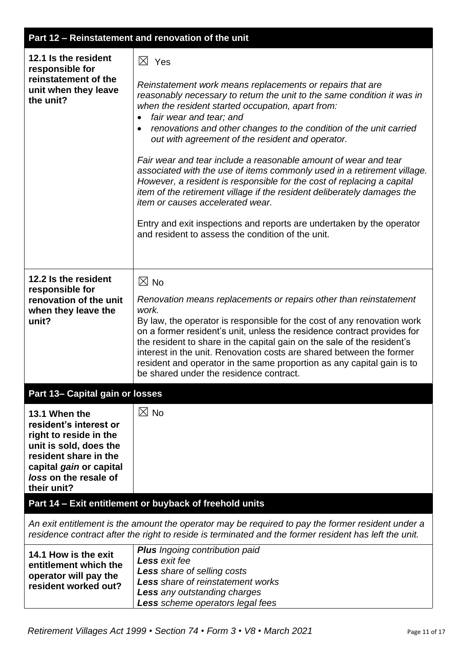## **Part 12 – Reinstatement and renovation of the unit**

| 12.1 Is the resident<br>responsible for<br>reinstatement of the<br>unit when they leave<br>the unit?                                                                                    | $\boxtimes$ Yes<br>Reinstatement work means replacements or repairs that are<br>reasonably necessary to return the unit to the same condition it was in<br>when the resident started occupation, apart from:<br>fair wear and tear; and<br>renovations and other changes to the condition of the unit carried<br>out with agreement of the resident and operator.<br>Fair wear and tear include a reasonable amount of wear and tear<br>associated with the use of items commonly used in a retirement village.<br>However, a resident is responsible for the cost of replacing a capital<br>item of the retirement village if the resident deliberately damages the<br><i>item or causes accelerated wear.</i><br>Entry and exit inspections and reports are undertaken by the operator<br>and resident to assess the condition of the unit. |
|-----------------------------------------------------------------------------------------------------------------------------------------------------------------------------------------|-----------------------------------------------------------------------------------------------------------------------------------------------------------------------------------------------------------------------------------------------------------------------------------------------------------------------------------------------------------------------------------------------------------------------------------------------------------------------------------------------------------------------------------------------------------------------------------------------------------------------------------------------------------------------------------------------------------------------------------------------------------------------------------------------------------------------------------------------|
| 12.2 Is the resident<br>responsible for<br>renovation of the unit<br>when they leave the<br>unit?                                                                                       | $\boxtimes$ No<br>Renovation means replacements or repairs other than reinstatement<br>work.<br>By law, the operator is responsible for the cost of any renovation work<br>on a former resident's unit, unless the residence contract provides for<br>the resident to share in the capital gain on the sale of the resident's<br>interest in the unit. Renovation costs are shared between the former<br>resident and operator in the same proportion as any capital gain is to<br>be shared under the residence contract.                                                                                                                                                                                                                                                                                                                    |
| Part 13- Capital gain or losses                                                                                                                                                         |                                                                                                                                                                                                                                                                                                                                                                                                                                                                                                                                                                                                                                                                                                                                                                                                                                               |
| 13.1 When the<br>resident's interest or<br>right to reside in the<br>unit is sold, does the<br>resident share in the<br>capital gain or capital<br>loss on the resale of<br>their unit? | $\boxtimes$ No                                                                                                                                                                                                                                                                                                                                                                                                                                                                                                                                                                                                                                                                                                                                                                                                                                |
|                                                                                                                                                                                         | Part 14 - Exit entitlement or buyback of freehold units                                                                                                                                                                                                                                                                                                                                                                                                                                                                                                                                                                                                                                                                                                                                                                                       |
|                                                                                                                                                                                         | An exit entitlement is the amount the operator may be required to pay the former resident under a<br>residence contract after the right to reside is terminated and the former resident has left the unit.                                                                                                                                                                                                                                                                                                                                                                                                                                                                                                                                                                                                                                    |
| 14.1 How is the exit<br>entitlement which the<br>operator will pay the<br>resident worked out?                                                                                          | <b>Plus</b> Ingoing contribution paid<br>Less exit fee<br>Less share of selling costs<br>Less share of reinstatement works<br><b>Less</b> any outstanding charges<br>Less scheme operators legal fees                                                                                                                                                                                                                                                                                                                                                                                                                                                                                                                                                                                                                                         |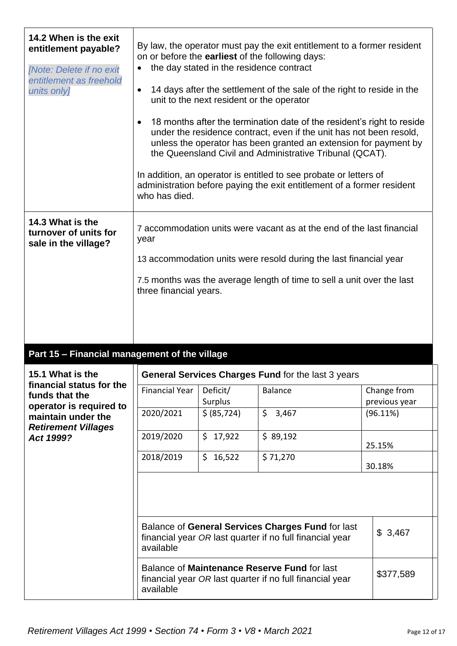| 14.2 When is the exit<br>entitlement payable?<br>[Note: Delete if no exit<br>entitlement as freehold<br>units only] | By law, the operator must pay the exit entitlement to a former resident<br>on or before the earliest of the following days:<br>the day stated in the residence contract<br>$\bullet$<br>14 days after the settlement of the sale of the right to reside in the<br>$\bullet$<br>unit to the next resident or the operator<br>18 months after the termination date of the resident's right to reside<br>$\bullet$<br>under the residence contract, even if the unit has not been resold,<br>unless the operator has been granted an extension for payment by<br>the Queensland Civil and Administrative Tribunal (QCAT).<br>In addition, an operator is entitled to see probate or letters of<br>administration before paying the exit entitlement of a former resident<br>who has died. |                     |                |                              |
|---------------------------------------------------------------------------------------------------------------------|----------------------------------------------------------------------------------------------------------------------------------------------------------------------------------------------------------------------------------------------------------------------------------------------------------------------------------------------------------------------------------------------------------------------------------------------------------------------------------------------------------------------------------------------------------------------------------------------------------------------------------------------------------------------------------------------------------------------------------------------------------------------------------------|---------------------|----------------|------------------------------|
| 14.3 What is the<br>turnover of units for<br>sale in the village?                                                   | 7 accommodation units were vacant as at the end of the last financial<br>year<br>13 accommodation units were resold during the last financial year<br>7.5 months was the average length of time to sell a unit over the last<br>three financial years.                                                                                                                                                                                                                                                                                                                                                                                                                                                                                                                                 |                     |                |                              |
| Part 15 - Financial management of the village                                                                       |                                                                                                                                                                                                                                                                                                                                                                                                                                                                                                                                                                                                                                                                                                                                                                                        |                     |                |                              |
| 15.1 What is the<br>financial status for the<br>funds that the                                                      | General Services Charges Fund for the last 3 years                                                                                                                                                                                                                                                                                                                                                                                                                                                                                                                                                                                                                                                                                                                                     |                     |                |                              |
|                                                                                                                     | <b>Financial Year</b>                                                                                                                                                                                                                                                                                                                                                                                                                                                                                                                                                                                                                                                                                                                                                                  | Deficit/<br>Surplus | <b>Balance</b> | Change from<br>previous year |
| operator is required to<br>maintain under the                                                                       | 2020/2021                                                                                                                                                                                                                                                                                                                                                                                                                                                                                                                                                                                                                                                                                                                                                                              | \$ (85, 724)        | \$3,467        | (96.11%)                     |

| maintain under the<br><b>Retirement Villages</b> | 2020/2021                                                                                                                  | \$ (85, 724) | \$3,467                                                                                                  | $(96.11\%)$ |
|--------------------------------------------------|----------------------------------------------------------------------------------------------------------------------------|--------------|----------------------------------------------------------------------------------------------------------|-------------|
| Act 1999?                                        | 2019/2020                                                                                                                  | \$17,922     | \$89,192                                                                                                 | 25.15%      |
|                                                  | 2018/2019                                                                                                                  | \$16,522     | \$71,270                                                                                                 | 30.18%      |
|                                                  |                                                                                                                            |              |                                                                                                          |             |
|                                                  |                                                                                                                            |              |                                                                                                          |             |
|                                                  | Balance of General Services Charges Fund for last<br>financial year OR last quarter if no full financial year<br>available |              |                                                                                                          | \$3,467     |
|                                                  | available                                                                                                                  |              | Balance of Maintenance Reserve Fund for last<br>financial year OR last quarter if no full financial year | \$377,589   |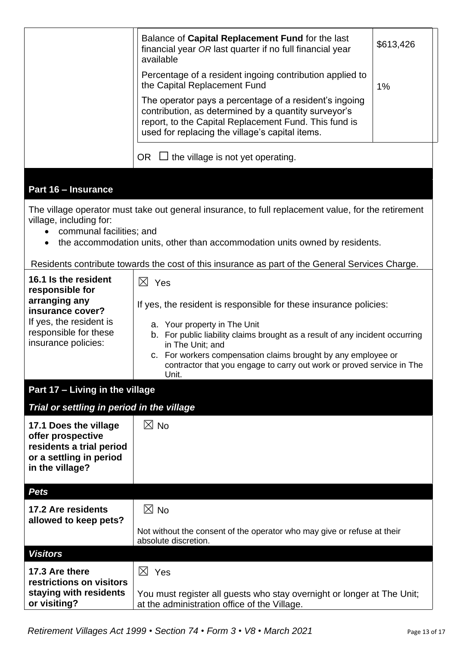|                                                                                                                                 | Balance of Capital Replacement Fund for the last<br>financial year OR last quarter if no full financial year<br>available                                                                                                                                                                                                                                | \$613,426 |  |  |
|---------------------------------------------------------------------------------------------------------------------------------|----------------------------------------------------------------------------------------------------------------------------------------------------------------------------------------------------------------------------------------------------------------------------------------------------------------------------------------------------------|-----------|--|--|
|                                                                                                                                 | Percentage of a resident ingoing contribution applied to<br>the Capital Replacement Fund                                                                                                                                                                                                                                                                 | 1%        |  |  |
|                                                                                                                                 | The operator pays a percentage of a resident's ingoing<br>contribution, as determined by a quantity surveyor's<br>report, to the Capital Replacement Fund. This fund is<br>used for replacing the village's capital items.                                                                                                                               |           |  |  |
|                                                                                                                                 | $\Box$ the village is not yet operating.<br>OR                                                                                                                                                                                                                                                                                                           |           |  |  |
| Part 16 - Insurance                                                                                                             |                                                                                                                                                                                                                                                                                                                                                          |           |  |  |
| village, including for:<br>communal facilities; and                                                                             | The village operator must take out general insurance, to full replacement value, for the retirement<br>the accommodation units, other than accommodation units owned by residents.<br>Residents contribute towards the cost of this insurance as part of the General Services Charge.                                                                    |           |  |  |
| 16.1 Is the resident                                                                                                            | $\boxtimes$ Yes                                                                                                                                                                                                                                                                                                                                          |           |  |  |
| responsible for<br>arranging any<br>insurance cover?<br>If yes, the resident is<br>responsible for these<br>insurance policies: | If yes, the resident is responsible for these insurance policies:<br>a. Your property in The Unit<br>b. For public liability claims brought as a result of any incident occurring<br>in The Unit; and<br>c. For workers compensation claims brought by any employee or<br>contractor that you engage to carry out work or proved service in The<br>Unit. |           |  |  |
| Part 17 - Living in the village                                                                                                 |                                                                                                                                                                                                                                                                                                                                                          |           |  |  |
| Trial or settling in period in the village                                                                                      |                                                                                                                                                                                                                                                                                                                                                          |           |  |  |
| 17.1 Does the village<br>offer prospective<br>residents a trial period<br>or a settling in period<br>in the village?            | $\boxtimes$ No                                                                                                                                                                                                                                                                                                                                           |           |  |  |
| <b>Pets</b>                                                                                                                     |                                                                                                                                                                                                                                                                                                                                                          |           |  |  |
| 17.2 Are residents                                                                                                              | $\boxtimes$ No                                                                                                                                                                                                                                                                                                                                           |           |  |  |
| allowed to keep pets?                                                                                                           | Not without the consent of the operator who may give or refuse at their<br>absolute discretion.                                                                                                                                                                                                                                                          |           |  |  |
| <b>Visitors</b>                                                                                                                 |                                                                                                                                                                                                                                                                                                                                                          |           |  |  |
| 17.3 Are there<br>restrictions on visitors                                                                                      | $\boxtimes$ Yes                                                                                                                                                                                                                                                                                                                                          |           |  |  |
| staying with residents<br>or visiting?                                                                                          | You must register all guests who stay overnight or longer at The Unit;<br>at the administration office of the Village.                                                                                                                                                                                                                                   |           |  |  |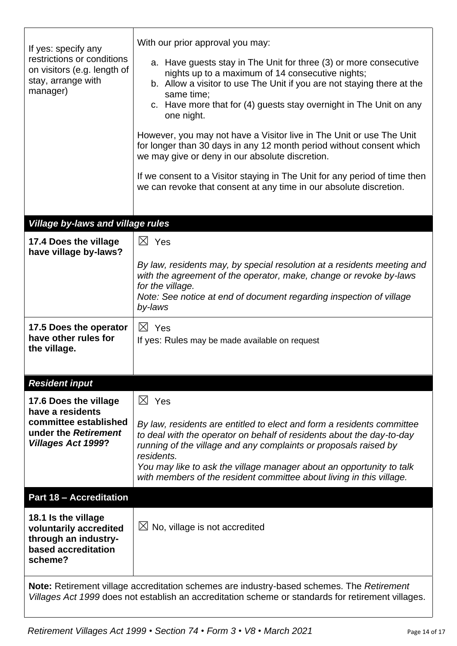| If yes: specify any<br>restrictions or conditions<br>on visitors (e.g. length of<br>stay, arrange with<br>manager) | With our prior approval you may:<br>a. Have guests stay in The Unit for three (3) or more consecutive<br>nights up to a maximum of 14 consecutive nights;<br>b. Allow a visitor to use The Unit if you are not staying there at the<br>same time;<br>c. Have more that for (4) guests stay overnight in The Unit on any                                                           |
|--------------------------------------------------------------------------------------------------------------------|-----------------------------------------------------------------------------------------------------------------------------------------------------------------------------------------------------------------------------------------------------------------------------------------------------------------------------------------------------------------------------------|
|                                                                                                                    | one night.                                                                                                                                                                                                                                                                                                                                                                        |
|                                                                                                                    | However, you may not have a Visitor live in The Unit or use The Unit<br>for longer than 30 days in any 12 month period without consent which<br>we may give or deny in our absolute discretion.                                                                                                                                                                                   |
|                                                                                                                    | If we consent to a Visitor staying in The Unit for any period of time then<br>we can revoke that consent at any time in our absolute discretion.                                                                                                                                                                                                                                  |
|                                                                                                                    |                                                                                                                                                                                                                                                                                                                                                                                   |
| Village by-laws and village rules                                                                                  |                                                                                                                                                                                                                                                                                                                                                                                   |
| 17.4 Does the village<br>have village by-laws?                                                                     | $\boxtimes$ Yes                                                                                                                                                                                                                                                                                                                                                                   |
|                                                                                                                    | By law, residents may, by special resolution at a residents meeting and<br>with the agreement of the operator, make, change or revoke by-laws<br>for the village.<br>Note: See notice at end of document regarding inspection of village<br>by-laws                                                                                                                               |
| 17.5 Does the operator<br>have other rules for<br>the village.                                                     | $\boxtimes$ Yes<br>If yes: Rules may be made available on request                                                                                                                                                                                                                                                                                                                 |
| <b>Resident input</b>                                                                                              |                                                                                                                                                                                                                                                                                                                                                                                   |
| 17.6 Does the village<br>have a residents                                                                          | $\boxtimes$ Yes                                                                                                                                                                                                                                                                                                                                                                   |
| committee established<br>under the Retirement<br><b>Villages Act 1999?</b>                                         | By law, residents are entitled to elect and form a residents committee<br>to deal with the operator on behalf of residents about the day-to-day<br>running of the village and any complaints or proposals raised by<br>residents.<br>You may like to ask the village manager about an opportunity to talk<br>with members of the resident committee about living in this village. |
| <b>Part 18 - Accreditation</b>                                                                                     |                                                                                                                                                                                                                                                                                                                                                                                   |
| 18.1 Is the village<br>voluntarily accredited<br>through an industry-<br>based accreditation<br>scheme?            | $\boxtimes$ No, village is not accredited                                                                                                                                                                                                                                                                                                                                         |
|                                                                                                                    | Note: Retirement village accreditation schemes are industry-based schemes. The Retirement<br>Villages Act 1999 does not establish an accreditation scheme or standards for retirement villages.                                                                                                                                                                                   |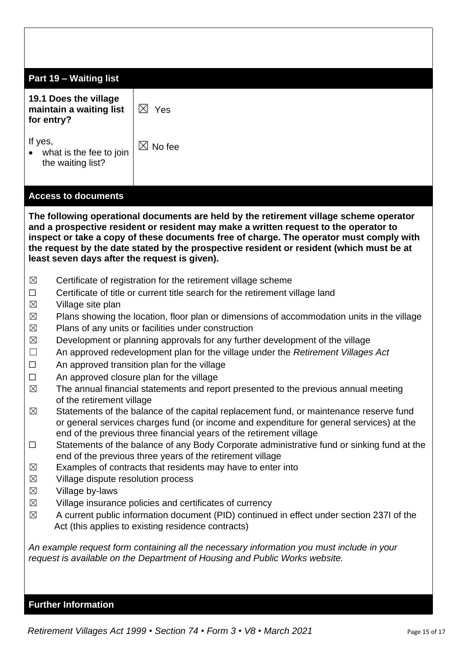| Part 19 - Waiting list                                                                                                                                                                                                                                                   |                                                                                                                                                                                                                                                                                                                                                                       |  |  |  |
|--------------------------------------------------------------------------------------------------------------------------------------------------------------------------------------------------------------------------------------------------------------------------|-----------------------------------------------------------------------------------------------------------------------------------------------------------------------------------------------------------------------------------------------------------------------------------------------------------------------------------------------------------------------|--|--|--|
| 19.1 Does the village<br>maintain a waiting list<br>for entry?                                                                                                                                                                                                           | $\boxtimes$ Yes                                                                                                                                                                                                                                                                                                                                                       |  |  |  |
| If yes,<br>what is the fee to join<br>the waiting list?                                                                                                                                                                                                                  | $\boxtimes$ No fee                                                                                                                                                                                                                                                                                                                                                    |  |  |  |
| <b>Access to documents</b>                                                                                                                                                                                                                                               |                                                                                                                                                                                                                                                                                                                                                                       |  |  |  |
| least seven days after the request is given).                                                                                                                                                                                                                            | The following operational documents are held by the retirement village scheme operator<br>and a prospective resident or resident may make a written request to the operator to<br>inspect or take a copy of these documents free of charge. The operator must comply with<br>the request by the date stated by the prospective resident or resident (which must be at |  |  |  |
| $\boxtimes$                                                                                                                                                                                                                                                              | Certificate of registration for the retirement village scheme                                                                                                                                                                                                                                                                                                         |  |  |  |
| $\Box$                                                                                                                                                                                                                                                                   | Certificate of title or current title search for the retirement village land                                                                                                                                                                                                                                                                                          |  |  |  |
| $\boxtimes$<br>$\boxtimes$                                                                                                                                                                                                                                               | Village site plan                                                                                                                                                                                                                                                                                                                                                     |  |  |  |
| $\boxtimes$                                                                                                                                                                                                                                                              | Plans showing the location, floor plan or dimensions of accommodation units in the village<br>Plans of any units or facilities under construction                                                                                                                                                                                                                     |  |  |  |
| $\boxtimes$                                                                                                                                                                                                                                                              | Development or planning approvals for any further development of the village                                                                                                                                                                                                                                                                                          |  |  |  |
| $\Box$                                                                                                                                                                                                                                                                   | An approved redevelopment plan for the village under the Retirement Villages Act                                                                                                                                                                                                                                                                                      |  |  |  |
| □                                                                                                                                                                                                                                                                        | An approved transition plan for the village                                                                                                                                                                                                                                                                                                                           |  |  |  |
| An approved closure plan for the village<br>$\Box$<br>The annual financial statements and report presented to the previous annual meeting<br>$\boxtimes$                                                                                                                 |                                                                                                                                                                                                                                                                                                                                                                       |  |  |  |
| of the retirement village                                                                                                                                                                                                                                                |                                                                                                                                                                                                                                                                                                                                                                       |  |  |  |
| Statements of the balance of the capital replacement fund, or maintenance reserve fund<br>$\boxtimes$<br>or general services charges fund (or income and expenditure for general services) at the<br>end of the previous three financial years of the retirement village |                                                                                                                                                                                                                                                                                                                                                                       |  |  |  |
| $\Box$                                                                                                                                                                                                                                                                   | Statements of the balance of any Body Corporate administrative fund or sinking fund at the                                                                                                                                                                                                                                                                            |  |  |  |
| end of the previous three years of the retirement village                                                                                                                                                                                                                |                                                                                                                                                                                                                                                                                                                                                                       |  |  |  |
| $\boxtimes$<br>$\boxtimes$                                                                                                                                                                                                                                               | Examples of contracts that residents may have to enter into<br>Village dispute resolution process                                                                                                                                                                                                                                                                     |  |  |  |
| $\boxtimes$<br>Village by-laws                                                                                                                                                                                                                                           |                                                                                                                                                                                                                                                                                                                                                                       |  |  |  |
| $\boxtimes$                                                                                                                                                                                                                                                              | Village insurance policies and certificates of currency                                                                                                                                                                                                                                                                                                               |  |  |  |
| A current public information document (PID) continued in effect under section 237I of the<br>$\boxtimes$<br>Act (this applies to existing residence contracts)                                                                                                           |                                                                                                                                                                                                                                                                                                                                                                       |  |  |  |
| An example request form containing all the necessary information you must include in your<br>request is available on the Department of Housing and Public Works website.                                                                                                 |                                                                                                                                                                                                                                                                                                                                                                       |  |  |  |

## **Further Information**

*Retirement Villages Act 1999* • *Section 74* • *Form 3* • *V8 • March 2021* Page 15 of 17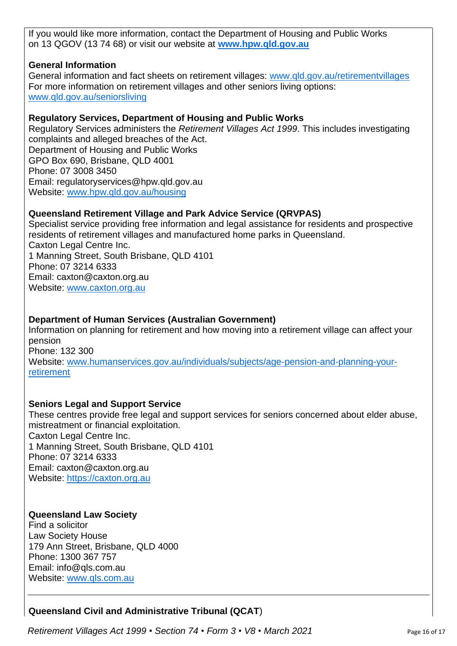If you would like more information, contact the Department of Housing and Public Works on 13 QGOV (13 74 68) or visit our website at **[www.hpw.qld.gov.au](http://www.hpw.qld.gov.au/)**

## **General Information**

General information and fact sheets on retirement villages: [www.qld.gov.au/retirementvillages](http://www.qld.gov.au/retirementvillages) For more information on retirement villages and other seniors living options: [www.qld.gov.au/seniorsliving](http://www.qld.gov.au/seniorsliving)

## **Regulatory Services, Department of Housing and Public Works**

Regulatory Services administers the *Retirement Villages Act 1999*. This includes investigating complaints and alleged breaches of the Act. Department of Housing and Public Works GPO Box 690, Brisbane, QLD 4001 Phone: 07 3008 3450 Email: regulatoryservices@hpw.qld.gov.au Website: [www.hpw.qld.gov.au/housing](http://www.hpw.qld.gov.au/housing)

## **Queensland Retirement Village and Park Advice Service (QRVPAS)**

Specialist service providing free information and legal assistance for residents and prospective residents of retirement villages and manufactured home parks in Queensland. Caxton Legal Centre Inc. 1 Manning Street, South Brisbane, QLD 4101 Phone: 07 3214 6333 Email: caxton@caxton.org.au Website: [www.caxton.org.au](http://www.caxton.org.au/)

## **Department of Human Services (Australian Government)**

Information on planning for retirement and how moving into a retirement village can affect your pension Phone: 132 300 Website: [www.humanservices.gov.au/individuals/subjects/age-pension-and-planning-your](file:///C:/Users/juliet.gross/AppData/Roaming/Microsoft/Word/www.humanservices.gov.au/individuals/subjects/age-pension-and-planning-your-retirement)[retirement](file:///C:/Users/juliet.gross/AppData/Roaming/Microsoft/Word/www.humanservices.gov.au/individuals/subjects/age-pension-and-planning-your-retirement)

## **Seniors Legal and Support Service**

These centres provide free legal and support services for seniors concerned about elder abuse, mistreatment or financial exploitation. Caxton Legal Centre Inc. 1 Manning Street, South Brisbane, QLD 4101 Phone: 07 3214 6333 Email: caxton@caxton.org.au Website: [https://caxton.org.au](https://caxton.org.au/)

### **Queensland Law Society**

Find a solicitor Law Society House 179 Ann Street, Brisbane, QLD 4000 Phone: 1300 367 757 Email: info@qls.com.au Website: [www.qls.com.au](http://www.qls.com.au/)

## **Queensland Civil and Administrative Tribunal (QCAT**)

*Retirement Villages Act 1999* • *Section 74* • *Form 3* • *V8 • March 2021* Page 16 of 17